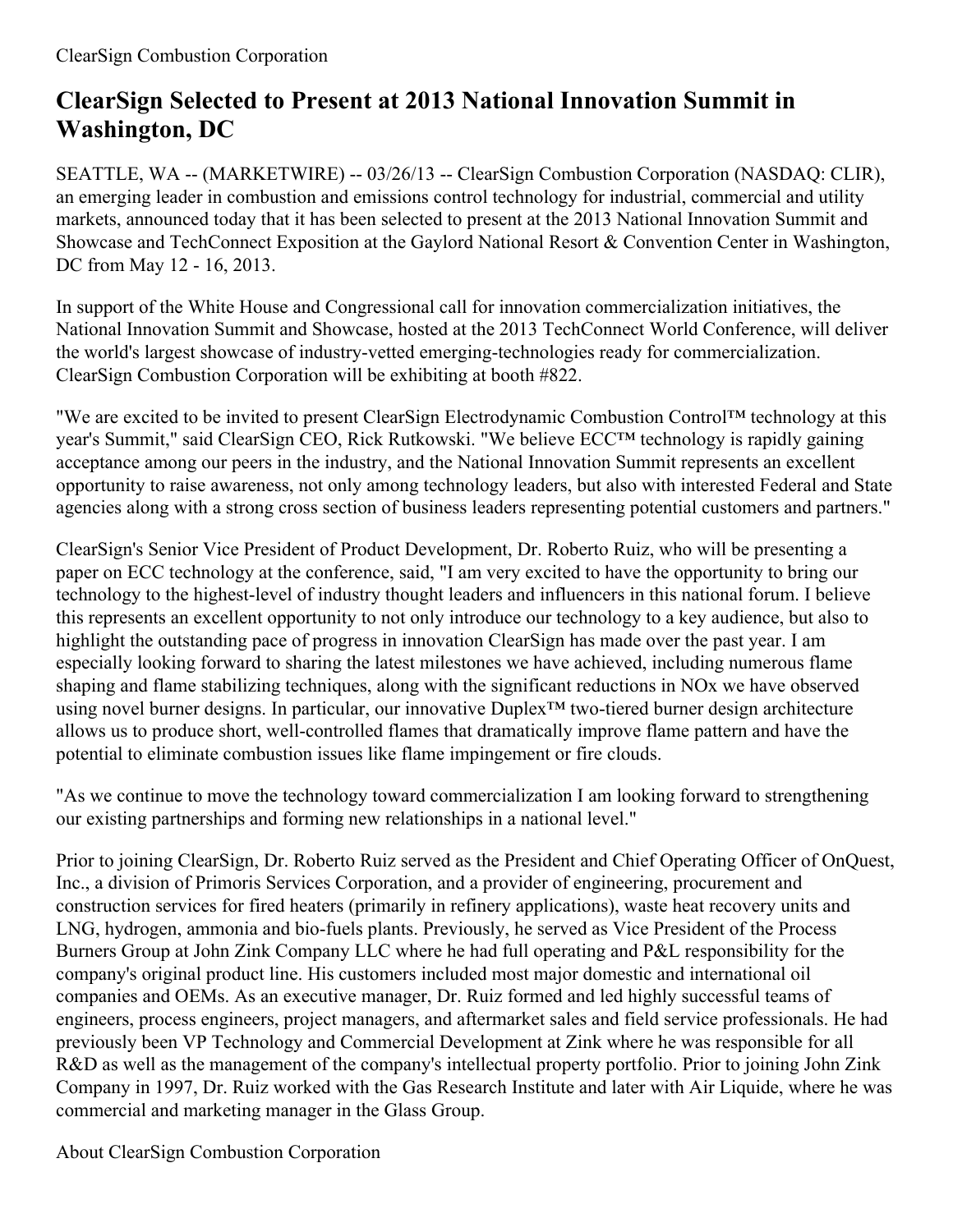## **ClearSign Selected to Present at 2013 National Innovation Summit in Washington, DC**

SEATTLE, WA -- (MARKETWIRE) -- 03/26/13 -- ClearSign Combustion Corporation (NASDAQ: CLIR), an emerging leader in combustion and emissions control technology for industrial, commercial and utility markets, announced today that it has been selected to present at the 2013 National Innovation Summit and Showcase and TechConnect Exposition at the Gaylord National Resort & Convention Center in Washington, DC from May 12 - 16, 2013.

In support of the White House and Congressional call for innovation commercialization initiatives, the National Innovation Summit and Showcase, hosted at the 2013 TechConnect World Conference, will deliver the world's largest showcase of industry-vetted emerging-technologies ready for commercialization. ClearSign Combustion Corporation will be exhibiting at booth #822.

"We are excited to be invited to present ClearSign Electrodynamic Combustion Control™ technology at this year's Summit," said ClearSign CEO, Rick Rutkowski. "We believe ECC™ technology is rapidly gaining acceptance among our peers in the industry, and the National Innovation Summit represents an excellent opportunity to raise awareness, not only among technology leaders, but also with interested Federal and State agencies along with a strong cross section of business leaders representing potential customers and partners."

ClearSign's Senior Vice President of Product Development, Dr. Roberto Ruiz, who will be presenting a paper on ECC technology at the conference, said, "I am very excited to have the opportunity to bring our technology to the highest-level of industry thought leaders and influencers in this national forum. I believe this represents an excellent opportunity to not only introduce our technology to a key audience, but also to highlight the outstanding pace of progress in innovation ClearSign has made over the past year. I am especially looking forward to sharing the latest milestones we have achieved, including numerous flame shaping and flame stabilizing techniques, along with the significant reductions in NOx we have observed using novel burner designs. In particular, our innovative Duplex™ two-tiered burner design architecture allows us to produce short, well-controlled flames that dramatically improve flame pattern and have the potential to eliminate combustion issues like flame impingement or fire clouds.

"As we continue to move the technology toward commercialization I am looking forward to strengthening our existing partnerships and forming new relationships in a national level."

Prior to joining ClearSign, Dr. Roberto Ruiz served as the President and Chief Operating Officer of OnQuest, Inc., a division of Primoris Services Corporation, and a provider of engineering, procurement and construction services for fired heaters (primarily in refinery applications), waste heat recovery units and LNG, hydrogen, ammonia and bio-fuels plants. Previously, he served as Vice President of the Process Burners Group at John Zink Company LLC where he had full operating and P&L responsibility for the company's original product line. His customers included most major domestic and international oil companies and OEMs. As an executive manager, Dr. Ruiz formed and led highly successful teams of engineers, process engineers, project managers, and aftermarket sales and field service professionals. He had previously been VP Technology and Commercial Development at Zink where he was responsible for all R&D as well as the management of the company's intellectual property portfolio. Prior to joining John Zink Company in 1997, Dr. Ruiz worked with the Gas Research Institute and later with Air Liquide, where he was commercial and marketing manager in the Glass Group.

About ClearSign Combustion Corporation